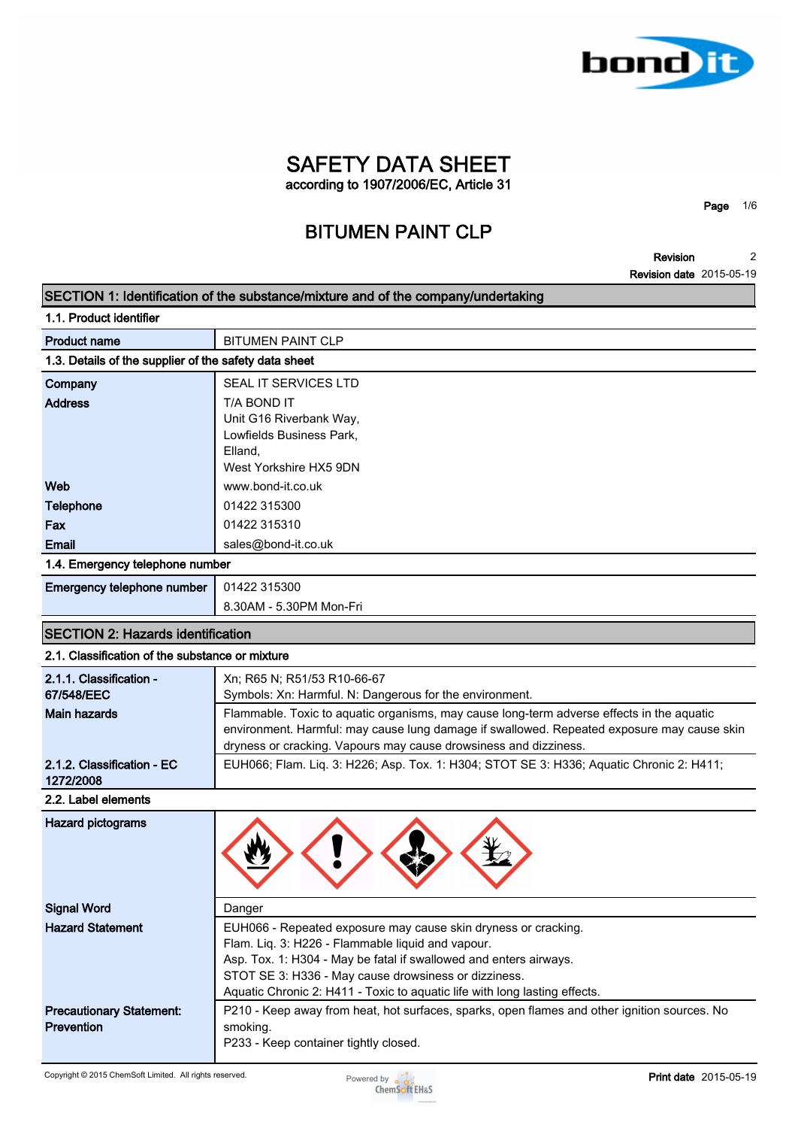

**Page 1/6**

**Revision 2**

| SECTION 1: Identification of the substance/mixture and of the company/undertaking<br>1.1. Product identifier<br><b>BITUMEN PAINT CLP</b><br><b>Product name</b><br>1.3. Details of the supplier of the safety data sheet<br>SEAL IT SERVICES LTD<br>Company<br><b>Address</b><br>T/A BOND IT<br>Unit G16 Riverbank Way,<br>Lowfields Business Park,<br>Elland.<br>West Yorkshire HX5 9DN<br>Web<br>www.bond-it.co.uk<br><b>Telephone</b><br>01422 315300<br>Fax<br>01422 315310<br><b>Email</b><br>sales@bond-it.co.uk<br>1.4. Emergency telephone number<br>Emergency telephone number<br>01422 315300<br>8.30AM - 5.30PM Mon-Fri<br><b>SECTION 2: Hazards identification</b><br>2.1. Classification of the substance or mixture |
|-----------------------------------------------------------------------------------------------------------------------------------------------------------------------------------------------------------------------------------------------------------------------------------------------------------------------------------------------------------------------------------------------------------------------------------------------------------------------------------------------------------------------------------------------------------------------------------------------------------------------------------------------------------------------------------------------------------------------------------|
|                                                                                                                                                                                                                                                                                                                                                                                                                                                                                                                                                                                                                                                                                                                                   |
|                                                                                                                                                                                                                                                                                                                                                                                                                                                                                                                                                                                                                                                                                                                                   |
|                                                                                                                                                                                                                                                                                                                                                                                                                                                                                                                                                                                                                                                                                                                                   |
|                                                                                                                                                                                                                                                                                                                                                                                                                                                                                                                                                                                                                                                                                                                                   |
|                                                                                                                                                                                                                                                                                                                                                                                                                                                                                                                                                                                                                                                                                                                                   |
|                                                                                                                                                                                                                                                                                                                                                                                                                                                                                                                                                                                                                                                                                                                                   |
|                                                                                                                                                                                                                                                                                                                                                                                                                                                                                                                                                                                                                                                                                                                                   |
|                                                                                                                                                                                                                                                                                                                                                                                                                                                                                                                                                                                                                                                                                                                                   |
|                                                                                                                                                                                                                                                                                                                                                                                                                                                                                                                                                                                                                                                                                                                                   |
|                                                                                                                                                                                                                                                                                                                                                                                                                                                                                                                                                                                                                                                                                                                                   |
|                                                                                                                                                                                                                                                                                                                                                                                                                                                                                                                                                                                                                                                                                                                                   |
|                                                                                                                                                                                                                                                                                                                                                                                                                                                                                                                                                                                                                                                                                                                                   |
|                                                                                                                                                                                                                                                                                                                                                                                                                                                                                                                                                                                                                                                                                                                                   |
|                                                                                                                                                                                                                                                                                                                                                                                                                                                                                                                                                                                                                                                                                                                                   |
|                                                                                                                                                                                                                                                                                                                                                                                                                                                                                                                                                                                                                                                                                                                                   |
|                                                                                                                                                                                                                                                                                                                                                                                                                                                                                                                                                                                                                                                                                                                                   |
|                                                                                                                                                                                                                                                                                                                                                                                                                                                                                                                                                                                                                                                                                                                                   |
|                                                                                                                                                                                                                                                                                                                                                                                                                                                                                                                                                                                                                                                                                                                                   |
|                                                                                                                                                                                                                                                                                                                                                                                                                                                                                                                                                                                                                                                                                                                                   |
| 2.1.1. Classification -<br>Xn; R65 N; R51/53 R10-66-67<br>67/548/EEC<br>Symbols: Xn: Harmful. N: Dangerous for the environment.                                                                                                                                                                                                                                                                                                                                                                                                                                                                                                                                                                                                   |
| Flammable. Toxic to aquatic organisms, may cause long-term adverse effects in the aquatic<br><b>Main hazards</b>                                                                                                                                                                                                                                                                                                                                                                                                                                                                                                                                                                                                                  |
| environment. Harmful: may cause lung damage if swallowed. Repeated exposure may cause skin                                                                                                                                                                                                                                                                                                                                                                                                                                                                                                                                                                                                                                        |
| dryness or cracking. Vapours may cause drowsiness and dizziness.                                                                                                                                                                                                                                                                                                                                                                                                                                                                                                                                                                                                                                                                  |
| EUH066; Flam. Liq. 3: H226; Asp. Tox. 1: H304; STOT SE 3: H336; Aquatic Chronic 2: H411;<br>2.1.2. Classification - EC<br>1272/2008                                                                                                                                                                                                                                                                                                                                                                                                                                                                                                                                                                                               |
| 2.2. Label elements                                                                                                                                                                                                                                                                                                                                                                                                                                                                                                                                                                                                                                                                                                               |
| <b>Hazard pictograms</b>                                                                                                                                                                                                                                                                                                                                                                                                                                                                                                                                                                                                                                                                                                          |
| <b>Signal Word</b><br>Danger                                                                                                                                                                                                                                                                                                                                                                                                                                                                                                                                                                                                                                                                                                      |
| <b>Hazard Statement</b><br>EUH066 - Repeated exposure may cause skin dryness or cracking.                                                                                                                                                                                                                                                                                                                                                                                                                                                                                                                                                                                                                                         |
| Flam. Liq. 3: H226 - Flammable liquid and vapour.                                                                                                                                                                                                                                                                                                                                                                                                                                                                                                                                                                                                                                                                                 |
| Asp. Tox. 1: H304 - May be fatal if swallowed and enters airways.<br>STOT SE 3: H336 - May cause drowsiness or dizziness.                                                                                                                                                                                                                                                                                                                                                                                                                                                                                                                                                                                                         |
| Aquatic Chronic 2: H411 - Toxic to aquatic life with long lasting effects.                                                                                                                                                                                                                                                                                                                                                                                                                                                                                                                                                                                                                                                        |
| P210 - Keep away from heat, hot surfaces, sparks, open flames and other ignition sources. No<br><b>Precautionary Statement:</b>                                                                                                                                                                                                                                                                                                                                                                                                                                                                                                                                                                                                   |
| <b>Prevention</b><br>smoking.                                                                                                                                                                                                                                                                                                                                                                                                                                                                                                                                                                                                                                                                                                     |
| P233 - Keep container tightly closed.                                                                                                                                                                                                                                                                                                                                                                                                                                                                                                                                                                                                                                                                                             |

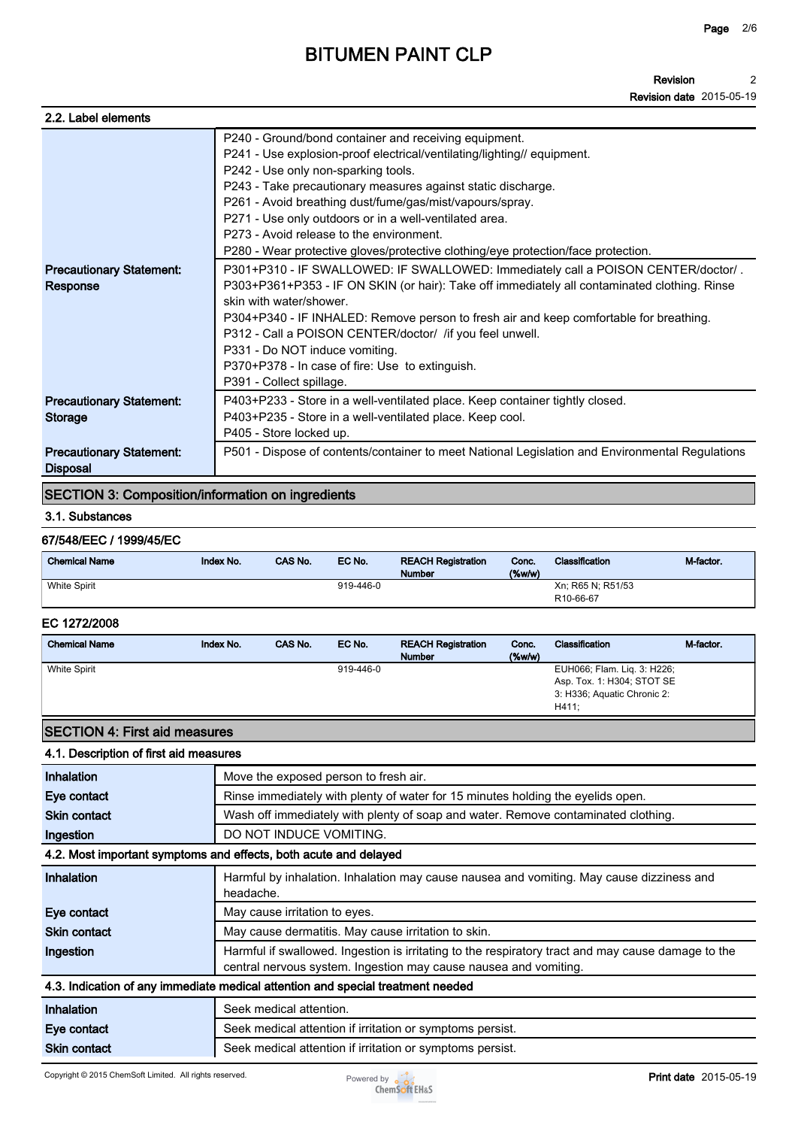**Revision Revision date 2015-05-19 2**

| 2.2. Label elements                                |                                                                                                                                                                                                                                                                                                                                                                                                                                                                                                                                                                                                                                                                                                                                                                                                                                                                                                                                                                                        |
|----------------------------------------------------|----------------------------------------------------------------------------------------------------------------------------------------------------------------------------------------------------------------------------------------------------------------------------------------------------------------------------------------------------------------------------------------------------------------------------------------------------------------------------------------------------------------------------------------------------------------------------------------------------------------------------------------------------------------------------------------------------------------------------------------------------------------------------------------------------------------------------------------------------------------------------------------------------------------------------------------------------------------------------------------|
| <b>Precautionary Statement:</b><br>Response        | P240 - Ground/bond container and receiving equipment.<br>P241 - Use explosion-proof electrical/ventilating/lighting// equipment.<br>P242 - Use only non-sparking tools.<br>P243 - Take precautionary measures against static discharge.<br>P261 - Avoid breathing dust/fume/gas/mist/vapours/spray.<br>P271 - Use only outdoors or in a well-ventilated area.<br>P273 - Avoid release to the environment.<br>P280 - Wear protective gloves/protective clothing/eye protection/face protection.<br>P301+P310 - IF SWALLOWED: IF SWALLOWED: Immediately call a POISON CENTER/doctor/.<br>P303+P361+P353 - IF ON SKIN (or hair): Take off immediately all contaminated clothing. Rinse<br>skin with water/shower.<br>P304+P340 - IF INHALED: Remove person to fresh air and keep comfortable for breathing.<br>P312 - Call a POISON CENTER/doctor/ / if you feel unwell.<br>P331 - Do NOT induce vomiting.<br>P370+P378 - In case of fire: Use to extinguish.<br>P391 - Collect spillage. |
| <b>Precautionary Statement:</b><br><b>Storage</b>  | P403+P233 - Store in a well-ventilated place. Keep container tightly closed.<br>P403+P235 - Store in a well-ventilated place. Keep cool.<br>P405 - Store locked up.                                                                                                                                                                                                                                                                                                                                                                                                                                                                                                                                                                                                                                                                                                                                                                                                                    |
| <b>Precautionary Statement:</b><br><b>Disposal</b> | P501 - Dispose of contents/container to meet National Legislation and Environmental Regulations                                                                                                                                                                                                                                                                                                                                                                                                                                                                                                                                                                                                                                                                                                                                                                                                                                                                                        |

## **SECTION 3: Composition/information on ingredients**

### **3.1. Substances**

### **67/548/EEC / 1999/45/EC**

| <b>Chemical Name</b> | Index No. | <b>CAS No.</b> | EC No.    | <b>REACH Registration</b><br><b>Number</b> | Conc.<br>$(\%w/w)$ | <b>Classification</b>  | M-factor. |
|----------------------|-----------|----------------|-----------|--------------------------------------------|--------------------|------------------------|-----------|
| <b>White Spirit</b>  |           |                | 919-446-0 |                                            |                    | Xn: R65 N: R51/53      |           |
|                      |           |                |           |                                            |                    | R <sub>10</sub> -66-67 |           |

### **EC 1272/2008**

| <b>Chemical Name</b> | Index No. | CAS No. | EC No.    | <b>REACH Registration</b><br><b>Number</b> | Conc.<br>$(\%w/w)$ | Classification                                                                                    | M-factor |
|----------------------|-----------|---------|-----------|--------------------------------------------|--------------------|---------------------------------------------------------------------------------------------------|----------|
| <b>White Spirit</b>  |           |         | 919-446-0 |                                            |                    | EUH066; Flam. Lig. 3: H226;<br>Asp. Tox. 1: H304; STOT SE<br>3: H336; Aquatic Chronic 2:<br>H411: |          |

# **SECTION 4: First aid measures**

## **4.1. Description of first aid measures**

| Inhalation          | Move the exposed person to fresh air.                                                                                                                                  |
|---------------------|------------------------------------------------------------------------------------------------------------------------------------------------------------------------|
| Eye contact         | Rinse immediately with plenty of water for 15 minutes holding the eyelids open.                                                                                        |
| <b>Skin contact</b> | Wash off immediately with plenty of soap and water. Remove contaminated clothing.                                                                                      |
| Ingestion           | DO NOT INDUCE VOMITING.                                                                                                                                                |
|                     | 4.2. Most important symptoms and effects, both acute and delayed                                                                                                       |
| <b>Inhalation</b>   | Harmful by inhalation. Inhalation may cause nausea and vomiting. May cause dizziness and<br>headache.                                                                  |
| Eye contact         | May cause irritation to eyes.                                                                                                                                          |
| <b>Skin contact</b> | May cause dermatitis. May cause irritation to skin.                                                                                                                    |
| Ingestion           | Harmful if swallowed. Ingestion is irritating to the respiratory tract and may cause damage to the<br>central nervous system. Ingestion may cause nausea and vomiting. |
|                     | 4.3. Indication of any immediate medical attention and special treatment needed                                                                                        |
| <b>Inhalation</b>   | Seek medical attention.                                                                                                                                                |
| Eye contact         | Seek medical attention if irritation or symptoms persist.                                                                                                              |
| <b>Skin contact</b> | Seek medical attention if irritation or symptoms persist.                                                                                                              |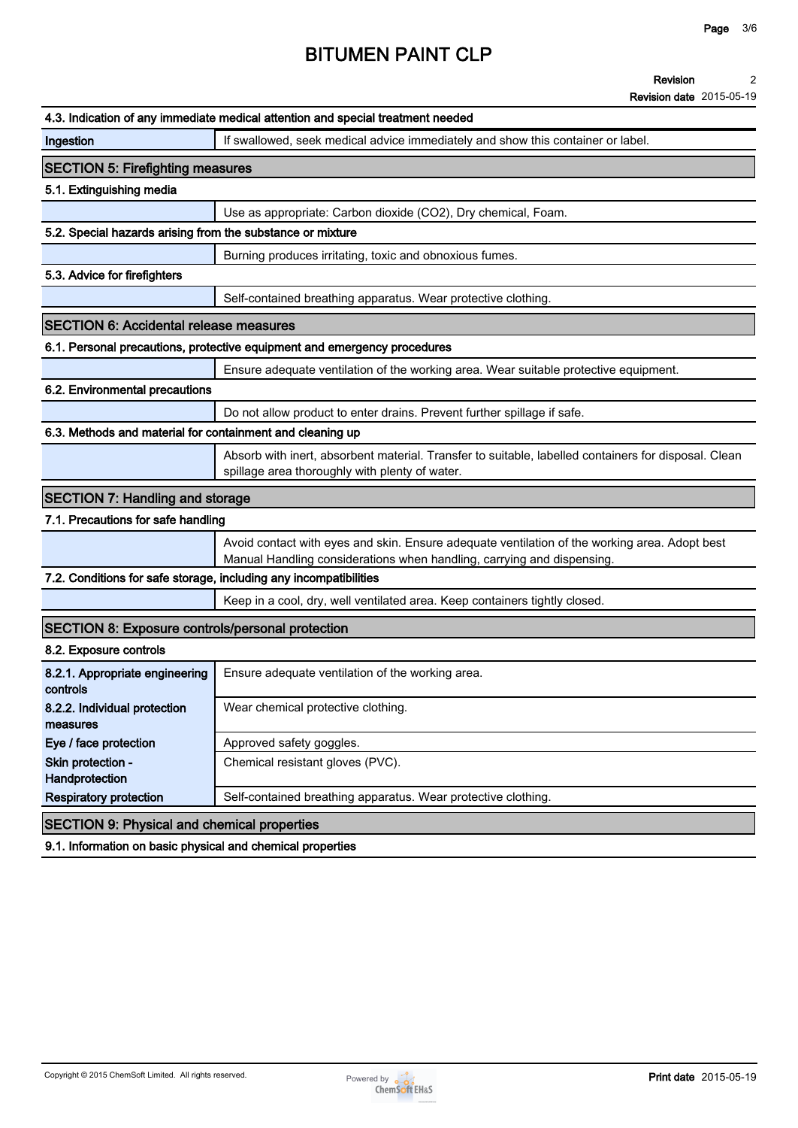#### **Revision 2**

**Revision date 2015-05-19**

|                                                                   | 4.3. Indication of any immediate medical attention and special treatment needed                                                                                         |
|-------------------------------------------------------------------|-------------------------------------------------------------------------------------------------------------------------------------------------------------------------|
| Ingestion                                                         | If swallowed, seek medical advice immediately and show this container or label.                                                                                         |
| <b>SECTION 5: Firefighting measures</b>                           |                                                                                                                                                                         |
| 5.1. Extinguishing media                                          |                                                                                                                                                                         |
|                                                                   | Use as appropriate: Carbon dioxide (CO2), Dry chemical, Foam.                                                                                                           |
| 5.2. Special hazards arising from the substance or mixture        |                                                                                                                                                                         |
|                                                                   | Burning produces irritating, toxic and obnoxious fumes.                                                                                                                 |
| 5.3. Advice for firefighters                                      |                                                                                                                                                                         |
|                                                                   | Self-contained breathing apparatus. Wear protective clothing.                                                                                                           |
| <b>SECTION 6: Accidental release measures</b>                     |                                                                                                                                                                         |
|                                                                   | 6.1. Personal precautions, protective equipment and emergency procedures                                                                                                |
|                                                                   | Ensure adequate ventilation of the working area. Wear suitable protective equipment.                                                                                    |
| 6.2. Environmental precautions                                    |                                                                                                                                                                         |
|                                                                   | Do not allow product to enter drains. Prevent further spillage if safe.                                                                                                 |
| 6.3. Methods and material for containment and cleaning up         |                                                                                                                                                                         |
|                                                                   | Absorb with inert, absorbent material. Transfer to suitable, labelled containers for disposal. Clean<br>spillage area thoroughly with plenty of water.                  |
| <b>SECTION 7: Handling and storage</b>                            |                                                                                                                                                                         |
| 7.1. Precautions for safe handling                                |                                                                                                                                                                         |
|                                                                   | Avoid contact with eyes and skin. Ensure adequate ventilation of the working area. Adopt best<br>Manual Handling considerations when handling, carrying and dispensing. |
| 7.2. Conditions for safe storage, including any incompatibilities |                                                                                                                                                                         |
|                                                                   | Keep in a cool, dry, well ventilated area. Keep containers tightly closed.                                                                                              |
| <b>SECTION 8: Exposure controls/personal protection</b>           |                                                                                                                                                                         |
| 8.2. Exposure controls                                            |                                                                                                                                                                         |
| 8.2.1. Appropriate engineering<br>controls                        | Ensure adequate ventilation of the working area.                                                                                                                        |
| 8.2.2. Individual protection<br>measures                          | Wear chemical protective clothing.                                                                                                                                      |
| Eye / face protection                                             | Approved safety goggles.                                                                                                                                                |
| Skin protection -<br>Handprotection                               | Chemical resistant gloves (PVC).                                                                                                                                        |
| <b>Respiratory protection</b>                                     | Self-contained breathing apparatus. Wear protective clothing.                                                                                                           |
| <b>SECTION 9: Physical and chemical properties</b>                |                                                                                                                                                                         |
| 9.1. Information on basic physical and chemical properties        |                                                                                                                                                                         |

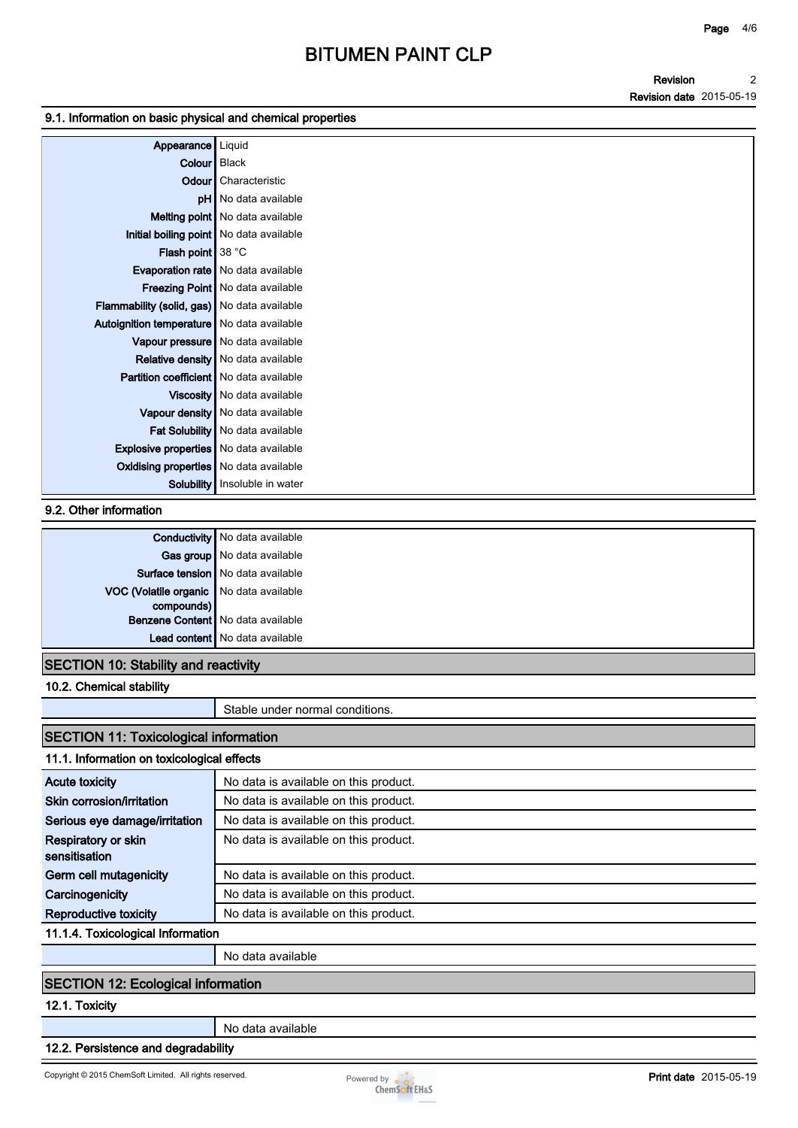**Revision Revision date 2015-05-19 2**

#### **9.1. Information on basic physical and chemical properties**

| Appearance                                         | Liquid                                    |
|----------------------------------------------------|-------------------------------------------|
| Colour Black                                       |                                           |
|                                                    | <b>Odour</b> Characteristic               |
|                                                    | <b>pH</b> No data available               |
|                                                    | Melting point   No data available         |
| Initial boiling point   No data available          |                                           |
| <b>Flash point</b> $38 °C$                         |                                           |
|                                                    | <b>Evaporation rate</b> No data available |
|                                                    | <b>Freezing Point</b> No data available   |
| <b>Flammability (solid, gas)</b> No data available |                                           |
| Autoignition temperature   No data available       |                                           |
|                                                    | Vapour pressure No data available         |
|                                                    | <b>Relative density</b> No data available |
| <b>Partition coefficient</b> No data available     |                                           |
|                                                    | Viscosity   No data available             |
|                                                    | Vapour density   No data available        |
|                                                    | Fat Solubility   No data available        |
| <b>Explosive properties</b> No data available      |                                           |
| <b>Oxidising properties</b> No data available      |                                           |
| Solubility                                         | Insoluble in water                        |

#### **9.2. Other information**

|                                         | <b>Conductivity</b> No data available |
|-----------------------------------------|---------------------------------------|
|                                         | Gas group No data available           |
|                                         | Surface tension   No data available   |
| VOC (Volatile organic No data available |                                       |
| compounds)                              |                                       |
|                                         | Benzene Content   No data available   |
|                                         | Lead content   No data available      |
|                                         |                                       |

## **SECTION 10: Stability and reactivity**

**10.2. Chemical stability**

**Stable under normal conditions.**

# **SECTION 11: Toxicological information**

# **11.1. Information on toxicological effects**

| <b>Acute toxicity</b>              | No data is available on this product. |
|------------------------------------|---------------------------------------|
| Skin corrosion/irritation          | No data is available on this product. |
| Serious eye damage/irritation      | No data is available on this product. |
| Respiratory or skin                | No data is available on this product. |
| sensitisation                      |                                       |
| Germ cell mutagenicity             | No data is available on this product. |
| Carcinogenicity                    | No data is available on this product. |
| Reproductive toxicity              | No data is available on this product. |
| 44.4.4. Terripological Information |                                       |

**11.1.4. Toxicological Information**

**No data available**

### **SECTION 12: Ecological information**

## **12.1. Toxicity**

**No data available**

### **12.2. Persistence and degradability**

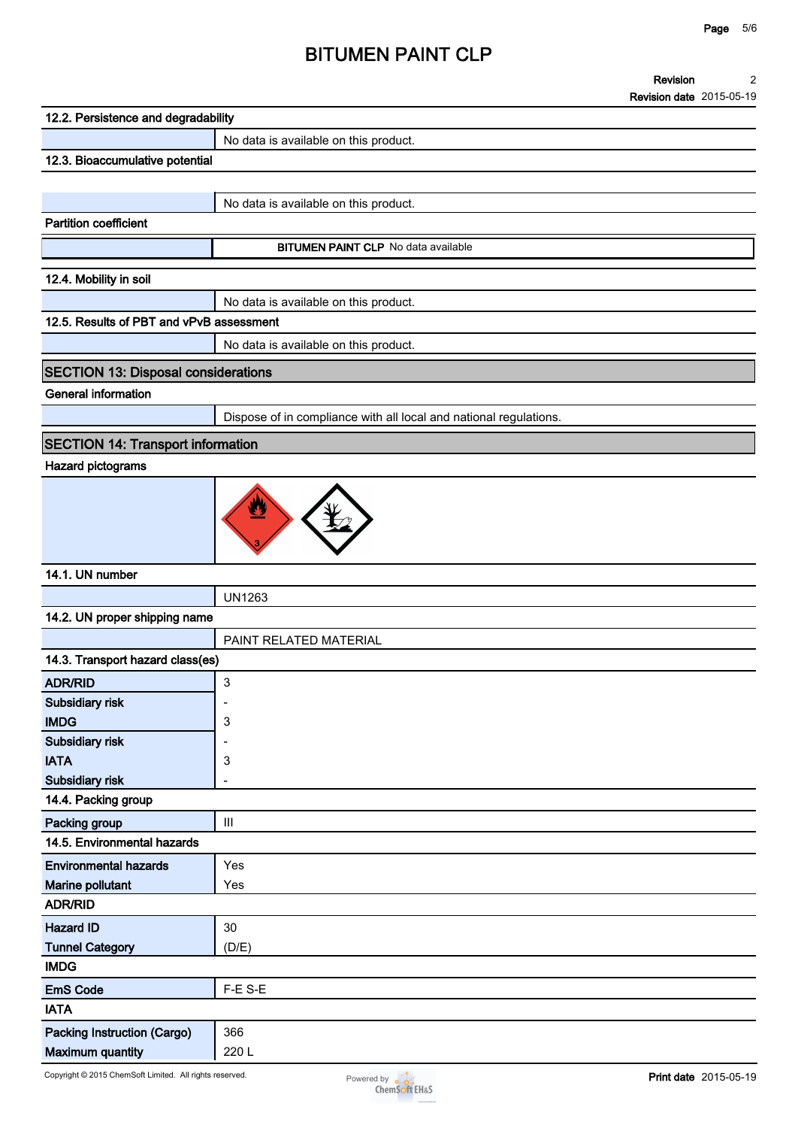#### **Revision 2**

**Revision date 2015-05-19**

| 12.2. Persistence and degradability        |                                                                   |
|--------------------------------------------|-------------------------------------------------------------------|
|                                            | No data is available on this product.                             |
| 12.3. Bioaccumulative potential            |                                                                   |
|                                            |                                                                   |
|                                            | No data is available on this product.                             |
| <b>Partition coefficient</b>               |                                                                   |
|                                            | <b>BITUMEN PAINT CLP</b> No data available                        |
|                                            |                                                                   |
| 12.4. Mobility in soil                     |                                                                   |
|                                            | No data is available on this product.                             |
| 12.5. Results of PBT and vPvB assessment   |                                                                   |
|                                            | No data is available on this product.                             |
| <b>SECTION 13: Disposal considerations</b> |                                                                   |
| <b>General information</b>                 |                                                                   |
|                                            | Dispose of in compliance with all local and national regulations. |
| <b>SECTION 14: Transport information</b>   |                                                                   |
| <b>Hazard pictograms</b>                   |                                                                   |
|                                            |                                                                   |
|                                            | V                                                                 |
|                                            |                                                                   |
|                                            |                                                                   |
|                                            |                                                                   |
| 14.1. UN number                            |                                                                   |
|                                            | <b>UN1263</b>                                                     |
| 14.2. UN proper shipping name              |                                                                   |
|                                            | PAINT RELATED MATERIAL                                            |
| 14.3. Transport hazard class(es)           |                                                                   |
| <b>ADR/RID</b>                             | 3                                                                 |
| Subsidiary risk                            | ٠                                                                 |
| <b>IMDG</b>                                | 3                                                                 |
| <b>Subsidiary risk</b>                     |                                                                   |
| <b>IATA</b><br>Subsidiary risk             | 3<br>-                                                            |
| 14.4. Packing group                        |                                                                   |
| Packing group                              | Ш                                                                 |
| 14.5. Environmental hazards                |                                                                   |
| <b>Environmental hazards</b>               | Yes                                                               |
| <b>Marine pollutant</b>                    | Yes                                                               |
| <b>ADR/RID</b>                             |                                                                   |
| <b>Hazard ID</b>                           | 30                                                                |
| <b>Tunnel Category</b>                     | (D/E)                                                             |
| <b>IMDG</b>                                |                                                                   |
| <b>EmS Code</b>                            | F-E S-E                                                           |
| <b>IATA</b>                                |                                                                   |
|                                            |                                                                   |
| <b>Packing Instruction (Cargo)</b>         | 366                                                               |
| <b>Maximum quantity</b>                    | 220L                                                              |